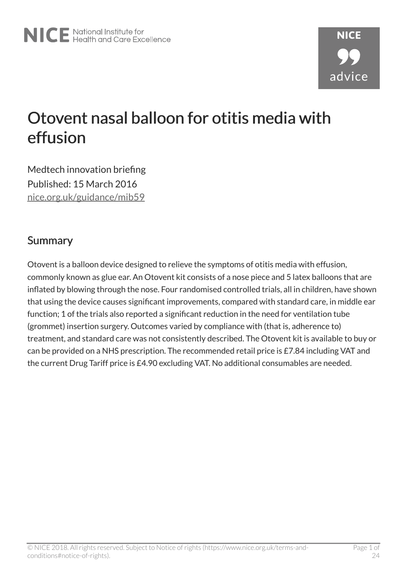# Otovent nasal balloon for otitis media with effusion

Medtech innovation briefing Published: 15 March 2016 [nice.org.uk/guidance/mib59](http://nice.org.uk/guidance/mib59)

### Summary

Otovent is a balloon device designed to relieve the symptoms of otitis media with effusion, commonly known as glue ear. An Otovent kit consists of a nose piece and 5 latex balloons that are inflated by blowing through the nose. Four randomised controlled trials, all in children, have shown that using the device causes significant improvements, compared with standard care, in middle ear function; 1 of the trials also reported a significant reduction in the need for ventilation tube (grommet) insertion surgery. Outcomes varied by compliance with (that is, adherence to) treatment, and standard care was not consistently described. The Otovent kit is available to buy or can be provided on a NHS prescription. The recommended retail price is £7.84 including VAT and the current Drug Tariff price is £4.90 excluding VAT. No additional consumables are needed.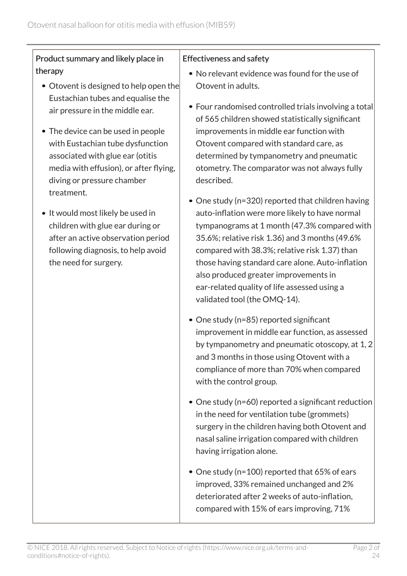#### Product summary and likely place in therapy

- Otovent is designed to help open the Eustachian tubes and equalise the air pressure in the middle ear.
- The device can be used in people with Eustachian tube dysfunction associated with glue ear (otitis media with effusion), or after flying, diving or pressure chamber treatment.
- It would most likely be used in children with glue ear during or after an active observation period following diagnosis, to help avoid the need for surgery.

#### Effectiveness and safety

- No relevant evidence was found for the use of Otovent in adults.
- Four randomised controlled trials involving a total of 565 children showed statistically significant improvements in middle ear function with Otovent compared with standard care, as determined by tympanometry and pneumatic otometry. The comparator was not always fully described.
- One study (n=320) reported that children having auto-inflation were more likely to have normal tympanograms at 1 month (47.3% compared with 35.6%; relative risk 1.36) and 3 months (49.6% compared with 38.3%; relative risk 1.37) than those having standard care alone. Auto-inflation also produced greater improvements in ear-related quality of life assessed using a validated tool (the OMQ-14).
- One study (n=85) reported significant improvement in middle ear function, as assessed by tympanometry and pneumatic otoscopy, at 1, 2 and 3 months in those using Otovent with a compliance of more than 70% when compared with the control group.
- One study (n=60) reported a significant reduction in the need for ventilation tube (grommets) surgery in the children having both Otovent and nasal saline irrigation compared with children having irrigation alone.
- One study (n=100) reported that 65% of ears improved, 33% remained unchanged and 2% deteriorated after 2 weeks of auto-inflation, compared with 15% of ears improving, 71%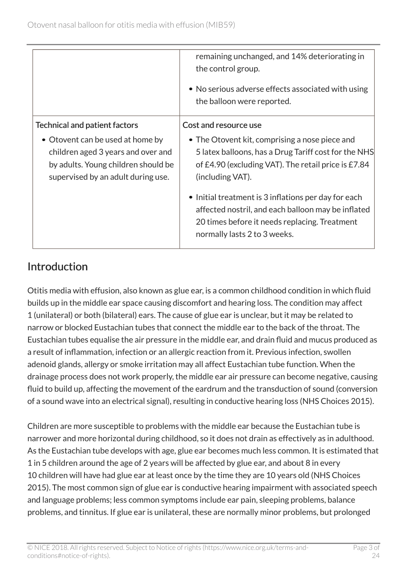|                                                                                                                                                     | remaining unchanged, and 14% deteriorating in<br>the control group.                                                                                                                         |
|-----------------------------------------------------------------------------------------------------------------------------------------------------|---------------------------------------------------------------------------------------------------------------------------------------------------------------------------------------------|
|                                                                                                                                                     | • No serious adverse effects associated with using<br>the balloon were reported.                                                                                                            |
| <b>Technical and patient factors</b>                                                                                                                | Cost and resource use                                                                                                                                                                       |
| • Otovent can be used at home by<br>children aged 3 years and over and<br>by adults. Young children should be<br>supervised by an adult during use. | • The Otovent kit, comprising a nose piece and<br>5 latex balloons, has a Drug Tariff cost for the NHS<br>of £4.90 (excluding VAT). The retail price is £7.84<br>(including VAT).           |
|                                                                                                                                                     | • Initial treatment is 3 inflations per day for each<br>affected nostril, and each balloon may be inflated<br>20 times before it needs replacing. Treatment<br>normally lasts 2 to 3 weeks. |

# Introduction

Otitis media with effusion, also known as glue ear, is a common childhood condition in which fluid builds up in the middle ear space causing discomfort and hearing loss. The condition may affect 1 (unilateral) or both (bilateral) ears. The cause of glue ear is unclear, but it may be related to narrow or blocked Eustachian tubes that connect the middle ear to the back of the throat. The Eustachian tubes equalise the air pressure in the middle ear, and drain fluid and mucus produced as a result of inflammation, infection or an allergic reaction from it. Previous infection, swollen adenoid glands, allergy or smoke irritation may all affect Eustachian tube function. When the drainage process does not work properly, the middle ear air pressure can become negative, causing fluid to build up, affecting the movement of the eardrum and the transduction of sound (conversion of a sound wave into an electrical signal), resulting in conductive hearing loss (NHS Choices 2015).

Children are more susceptible to problems with the middle ear because the Eustachian tube is narrower and more horizontal during childhood, so it does not drain as effectively as in adulthood. As the Eustachian tube develops with age, glue ear becomes much less common. It is estimated that 1 in 5 children around the age of 2 years will be affected by glue ear, and about 8 in every 10 children will have had glue ear at least once by the time they are 10 years old (NHS Choices 2015). The most common sign of glue ear is conductive hearing impairment with associated speech and language problems; less common symptoms include ear pain, sleeping problems, balance problems, and tinnitus. If glue ear is unilateral, these are normally minor problems, but prolonged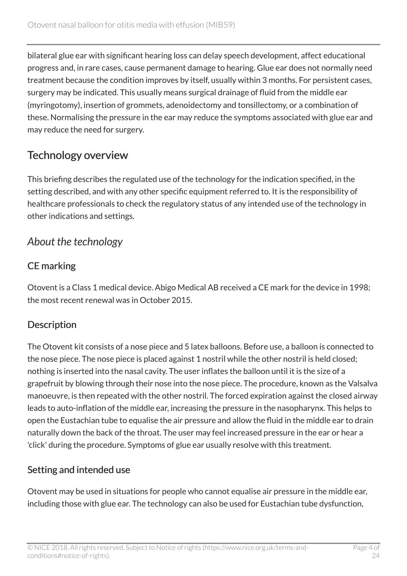bilateral glue ear with significant hearing loss can delay speech development, affect educational progress and, in rare cases, cause permanent damage to hearing. Glue ear does not normally need treatment because the condition improves by itself, usually within 3 months. For persistent cases, surgery may be indicated. This usually means surgical drainage of fluid from the middle ear (myringotomy), insertion of grommets, adenoidectomy and tonsillectomy, or a combination of these. Normalising the pressure in the ear may reduce the symptoms associated with glue ear and may reduce the need for surgery.

# Technology overview

This briefing describes the regulated use of the technology for the indication specified, in the setting described, and with any other specific equipment referred to. It is the responsibility of healthcare professionals to check the regulatory status of any intended use of the technology in other indications and settings.

### *About the technology*

### CE marking

Otovent is a Class 1 medical device. Abigo Medical AB received a CE mark for the device in 1998; the most recent renewal was in October 2015.

### **Description**

The Otovent kit consists of a nose piece and 5 latex balloons. Before use, a balloon is connected to the nose piece. The nose piece is placed against 1 nostril while the other nostril is held closed; nothing is inserted into the nasal cavity. The user inflates the balloon until it is the size of a grapefruit by blowing through their nose into the nose piece. The procedure, known as the Valsalva manoeuvre, is then repeated with the other nostril. The forced expiration against the closed airway leads to auto-inflation of the middle ear, increasing the pressure in the nasopharynx. This helps to open the Eustachian tube to equalise the air pressure and allow the fluid in the middle ear to drain naturally down the back of the throat. The user may feel increased pressure in the ear or hear a 'click' during the procedure. Symptoms of glue ear usually resolve with this treatment.

#### Setting and intended use

Otovent may be used in situations for people who cannot equalise air pressure in the middle ear, including those with glue ear. The technology can also be used for Eustachian tube dysfunction,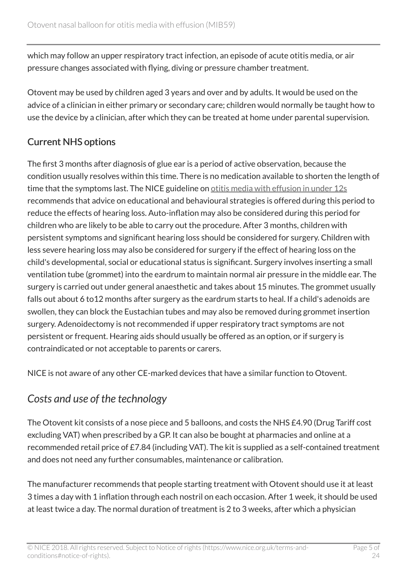which may follow an upper respiratory tract infection, an episode of acute otitis media, or air pressure changes associated with flying, diving or pressure chamber treatment.

Otovent may be used by children aged 3 years and over and by adults. It would be used on the advice of a clinician in either primary or secondary care; children would normally be taught how to use the device by a clinician, after which they can be treated at home under parental supervision.

#### Current NHS options

The first 3 months after diagnosis of glue ear is a period of active observation, because the condition usually resolves within this time. There is no medication available to shorten the length of time that the symptoms last. The NICE guideline on [otitis media with effusion in under 12s](http://www.nice.org.uk/guidance/cg60) recommends that advice on educational and behavioural strategies is offered during this period to reduce the effects of hearing loss. Auto-inflation may also be considered during this period for children who are likely to be able to carry out the procedure. After 3 months, children with persistent symptoms and significant hearing loss should be considered for surgery. Children with less severe hearing loss may also be considered for surgery if the effect of hearing loss on the child's developmental, social or educational status is significant. Surgery involves inserting a small ventilation tube (grommet) into the eardrum to maintain normal air pressure in the middle ear. The surgery is carried out under general anaesthetic and takes about 15 minutes. The grommet usually falls out about 6 to12 months after surgery as the eardrum starts to heal. If a child's adenoids are swollen, they can block the Eustachian tubes and may also be removed during grommet insertion surgery. Adenoidectomy is not recommended if upper respiratory tract symptoms are not persistent or frequent. Hearing aids should usually be offered as an option, or if surgery is contraindicated or not acceptable to parents or carers.

NICE is not aware of any other CE-marked devices that have a similar function to Otovent.

# *Costs and use of the technology*

The Otovent kit consists of a nose piece and 5 balloons, and costs the NHS £4.90 (Drug Tariff cost excluding VAT) when prescribed by a GP. It can also be bought at pharmacies and online at a recommended retail price of £7.84 (including VAT). The kit is supplied as a self-contained treatment and does not need any further consumables, maintenance or calibration.

The manufacturer recommends that people starting treatment with Otovent should use it at least 3 times a day with 1 inflation through each nostril on each occasion. After 1 week, it should be used at least twice a day. The normal duration of treatment is 2 to 3 weeks, after which a physician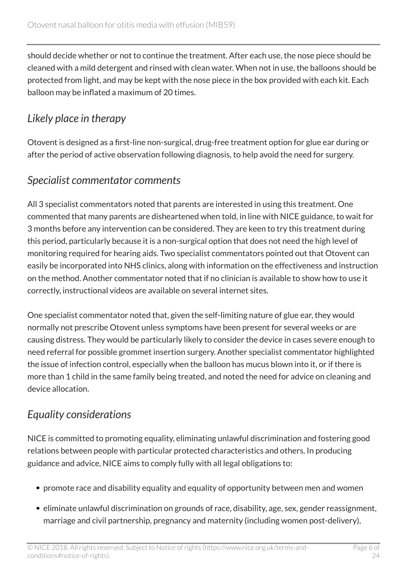should decide whether or not to continue the treatment. After each use, the nose piece should be cleaned with a mild detergent and rinsed with clean water. When not in use, the balloons should be protected from light, and may be kept with the nose piece in the box provided with each kit. Each balloon may be inflated a maximum of 20 times.

# *Likely place in therapy*

Otovent is designed as a first-line non-surgical, drug-free treatment option for glue ear during or after the period of active observation following diagnosis, to help avoid the need for surgery.

### *Specialist commentator comments*

All 3 specialist commentators noted that parents are interested in using this treatment. One commented that many parents are disheartened when told, in line with NICE guidance, to wait for 3 months before any intervention can be considered. They are keen to try this treatment during this period, particularly because it is a non-surgical option that does not need the high level of monitoring required for hearing aids. Two specialist commentators pointed out that Otovent can easily be incorporated into NHS clinics, along with information on the effectiveness and instruction on the method. Another commentator noted that if no clinician is available to show how to use it correctly, instructional videos are available on several internet sites.

One specialist commentator noted that, given the self-limiting nature of glue ear, they would normally not prescribe Otovent unless symptoms have been present for several weeks or are causing distress. They would be particularly likely to consider the device in cases severe enough to need referral for possible grommet insertion surgery. Another specialist commentator highlighted the issue of infection control, especially when the balloon has mucus blown into it, or if there is more than 1 child in the same family being treated, and noted the need for advice on cleaning and device allocation.

### *Equality considerations*

NICE is committed to promoting equality, eliminating unlawful discrimination and fostering good relations between people with particular protected characteristics and others. In producing guidance and advice, NICE aims to comply fully with all legal obligations to:

- promote race and disability equality and equality of opportunity between men and women
- eliminate unlawful discrimination on grounds of race, disability, age, sex, gender reassignment, marriage and civil partnership, pregnancy and maternity (including women post-delivery),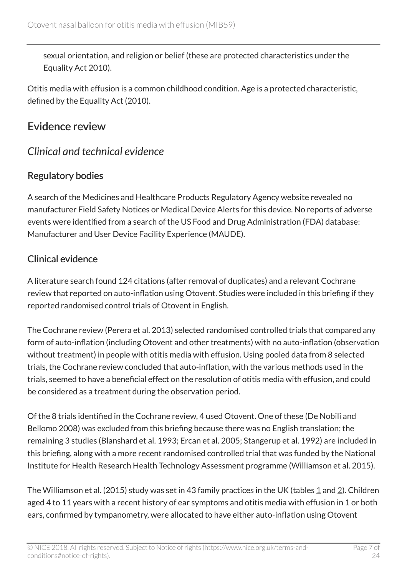sexual orientation, and religion or belief (these are protected characteristics under the Equality Act 2010).

Otitis media with effusion is a common childhood condition. Age is a protected characteristic, defined by the Equality Act (2010).

### Evidence review

### *Clinical and technical evidence*

#### Regulatory bodies

A search of the Medicines and Healthcare Products Regulatory Agency website revealed no manufacturer Field Safety Notices or Medical Device Alerts for this device. No reports of adverse events were identified from a search of the US Food and Drug Administration (FDA) database: Manufacturer and User Device Facility Experience (MAUDE).

#### Clinical evidence

A literature search found 124 citations (after removal of duplicates) and a relevant Cochrane review that reported on auto-inflation using Otovent. Studies were included in this briefing if they reported randomised control trials of Otovent in English.

The Cochrane review (Perera et al. 2013) selected randomised controlled trials that compared any form of auto-inflation (including Otovent and other treatments) with no auto-inflation (observation without treatment) in people with otitis media with effusion. Using pooled data from 8 selected trials, the Cochrane review concluded that auto-inflation, with the various methods used in the trials, seemed to have a beneficial effect on the resolution of otitis media with effusion, and could be considered as a treatment during the observation period.

Of the 8 trials identified in the Cochrane review, 4 used Otovent. One of these (De Nobili and Bellomo 2008) was excluded from this briefing because there was no English translation; the remaining 3 studies (Blanshard et al. 1993; Ercan et al. 2005; Stangerup et al. 1992) are included in this briefing, along with a more recent randomised controlled trial that was funded by the National Institute for Health Research Health Technology Assessment programme (Williamson et al. 2015).

The Williamson et al. (20[1](#page-11-0)5) study was set in 43 family practices in the UK (tables 1 and [2](#page-12-0)). Children aged 4 to 11 years with a recent history of ear symptoms and otitis media with effusion in 1 or both ears, confirmed by tympanometry, were allocated to have either auto-inflation using Otovent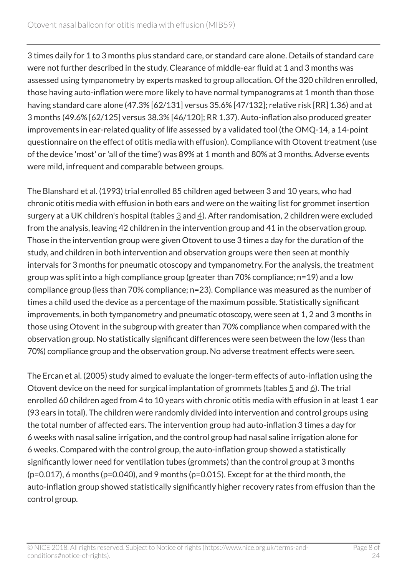3 times daily for 1 to 3 months plus standard care, or standard care alone. Details of standard care were not further described in the study. Clearance of middle-ear fluid at 1 and 3 months was assessed using tympanometry by experts masked to group allocation. Of the 320 children enrolled, those having auto-inflation were more likely to have normal tympanograms at 1 month than those having standard care alone (47.3% [62/131] versus 35.6% [47/132]; relative risk [RR] 1.36) and at 3 months (49.6% [62/125] versus 38.3% [46/120]; RR 1.37). Auto-inflation also produced greater improvements in ear-related quality of life assessed by a validated tool (the OMQ-14, a 14-point questionnaire on the effect of otitis media with effusion). Compliance with Otovent treatment (use of the device 'most' or 'all of the time') was 89% at 1 month and 80% at 3 months. Adverse events were mild, infrequent and comparable between groups.

The Blanshard et al. (1993) trial enrolled 85 children aged between 3 and 10 years, who had chronic otitis media with effusion in both ears and were on the waiting list for grommet insertion surgery at a UK children's hospital (tables  $\frac{3}{2}$  $\frac{3}{2}$  $\frac{3}{2}$  and  $\frac{4}{2}$ ). After randomisation, 2 children were excluded from the analysis, leaving 42 children in the intervention group and 41 in the observation group. Those in the intervention group were given Otovent to use 3 times a day for the duration of the study, and children in both intervention and observation groups were then seen at monthly intervals for 3 months for pneumatic otoscopy and tympanometry. For the analysis, the treatment group was split into a high compliance group (greater than 70% compliance; n=19) and a low compliance group (less than 70% compliance; n=23). Compliance was measured as the number of times a child used the device as a percentage of the maximum possible. Statistically significant improvements, in both tympanometry and pneumatic otoscopy, were seen at 1, 2 and 3 months in those using Otovent in the subgroup with greater than 70% compliance when compared with the observation group. No statistically significant differences were seen between the low (less than 70%) compliance group and the observation group. No adverse treatment effects were seen.

The Ercan et al. (2005) study aimed to evaluate the longer-term effects of auto-inflation using the Otovent device on the need for surgical implantation of grommets (tables  $\frac{5}{2}$  $\frac{5}{2}$  $\frac{5}{2}$  and  $\frac{6}{2}$ ). The trial enrolled 60 children aged from 4 to 10 years with chronic otitis media with effusion in at least 1 ear (93 ears in total). The children were randomly divided into intervention and control groups using the total number of affected ears. The intervention group had auto-inflation 3 times a day for 6 weeks with nasal saline irrigation, and the control group had nasal saline irrigation alone for 6 weeks. Compared with the control group, the auto-inflation group showed a statistically significantly lower need for ventilation tubes (grommets) than the control group at 3 months  $(p=0.017)$ , 6 months (p=0.040), and 9 months (p=0.015). Except for at the third month, the auto-inflation group showed statistically significantly higher recovery rates from effusion than the control group.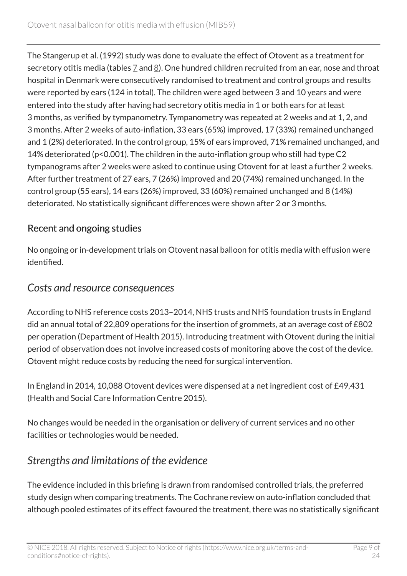The Stangerup et al. (1992) study was done to evaluate the effect of Otovent as a treatment for secretory otitis media (tables  $\mathbb Z$  and  $\mathbb B$ ). One hundred children recruited from an ear, nose and throat hospital in Denmark were consecutively randomised to treatment and control groups and results were reported by ears (124 in total). The children were aged between 3 and 10 years and were entered into the study after having had secretory otitis media in 1 or both ears for at least 3 months, as verified by tympanometry. Tympanometry was repeated at 2 weeks and at 1, 2, and 3 months. After 2 weeks of auto-inflation, 33 ears (65%) improved, 17 (33%) remained unchanged and 1 (2%) deteriorated. In the control group, 15% of ears improved, 71% remained unchanged, and 14% deteriorated (p<0.001). The children in the auto-inflation group who still had type C2 tympanograms after 2 weeks were asked to continue using Otovent for at least a further 2 weeks. After further treatment of 27 ears, 7 (26%) improved and 20 (74%) remained unchanged. In the control group (55 ears), 14 ears (26%) improved, 33 (60%) remained unchanged and 8 (14%) deteriorated. No statistically significant differences were shown after 2 or 3 months.

#### Recent and ongoing studies

No ongoing or in-development trials on Otovent nasal balloon for otitis media with effusion were identified.

#### *Costs and resource consequences*

According to NHS reference costs 2013–2014, NHS trusts and NHS foundation trusts in England did an annual total of 22,809 operations for the insertion of grommets, at an average cost of £802 per operation (Department of Health 2015). Introducing treatment with Otovent during the initial period of observation does not involve increased costs of monitoring above the cost of the device. Otovent might reduce costs by reducing the need for surgical intervention.

In England in 2014, 10,088 Otovent devices were dispensed at a net ingredient cost of £49,431 (Health and Social Care Information Centre 2015).

No changes would be needed in the organisation or delivery of current services and no other facilities or technologies would be needed.

### *Strengths and limitations of the evidence*

The evidence included in this briefing is drawn from randomised controlled trials, the preferred study design when comparing treatments. The Cochrane review on auto-inflation concluded that although pooled estimates of its effect favoured the treatment, there was no statistically significant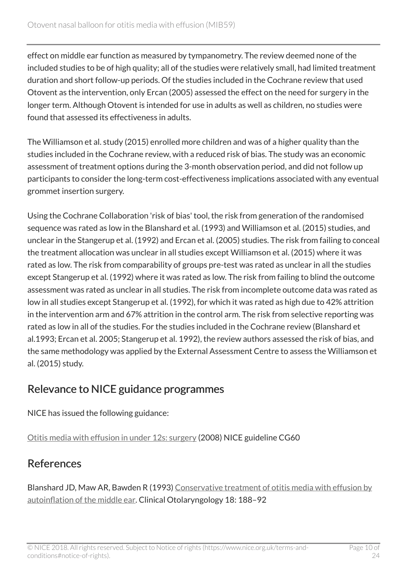effect on middle ear function as measured by tympanometry. The review deemed none of the included studies to be of high quality; all of the studies were relatively small, had limited treatment duration and short follow-up periods. Of the studies included in the Cochrane review that used Otovent as the intervention, only Ercan (2005) assessed the effect on the need for surgery in the longer term. Although Otovent is intended for use in adults as well as children, no studies were found that assessed its effectiveness in adults.

The Williamson et al. study (2015) enrolled more children and was of a higher quality than the studies included in the Cochrane review, with a reduced risk of bias. The study was an economic assessment of treatment options during the 3-month observation period, and did not follow up participants to consider the long-term cost-effectiveness implications associated with any eventual grommet insertion surgery.

Using the Cochrane Collaboration 'risk of bias' tool, the risk from generation of the randomised sequence was rated as low in the Blanshard et al. (1993) and Williamson et al. (2015) studies, and unclear in the Stangerup et al. (1992) and Ercan et al. (2005) studies. The risk from failing to conceal the treatment allocation was unclear in all studies except Williamson et al. (2015) where it was rated as low. The risk from comparability of groups pre-test was rated as unclear in all the studies except Stangerup et al. (1992) where it was rated as low. The risk from failing to blind the outcome assessment was rated as unclear in all studies. The risk from incomplete outcome data was rated as low in all studies except Stangerup et al. (1992), for which it was rated as high due to 42% attrition in the intervention arm and 67% attrition in the control arm. The risk from selective reporting was rated as low in all of the studies. For the studies included in the Cochrane review (Blanshard et al.1993; Ercan et al. 2005; Stangerup et al. 1992), the review authors assessed the risk of bias, and the same methodology was applied by the External Assessment Centre to assess the Williamson et al. (2015) study.

### Relevance to NICE guidance programmes

NICE has issued the following guidance:

[Otitis media with effusion in under 12s: surgery](http://www.nice.org.uk/guidance/cg60) (2008) NICE guideline CG60

# References

Blanshard JD, Maw AR, Bawden R (1993) [Conservative treatment of otitis media with effusion by](http://onlinelibrary.wiley.com/doi/10.1111/j.1365-2273.1993.tb00827.x/abstract) [autoinflation of the middle ear](http://onlinelibrary.wiley.com/doi/10.1111/j.1365-2273.1993.tb00827.x/abstract). Clinical Otolaryngology 18: 188–92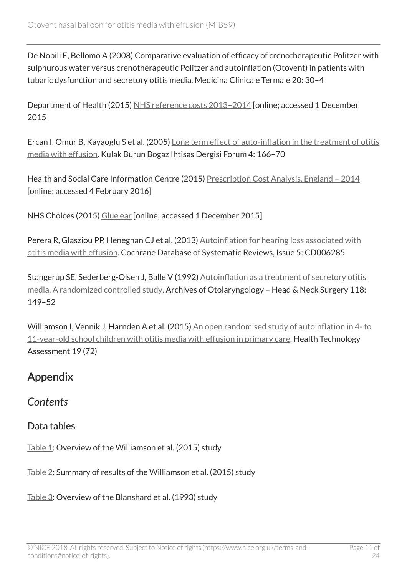De Nobili E, Bellomo A (2008) Comparative evaluation of efficacy of crenotherapeutic Politzer with sulphurous water versus crenotherapeutic Politzer and autoinflation (Otovent) in patients with tubaric dysfunction and secretory otitis media. Medicina Clinica e Termale 20: 30–4

Department of Health (2015) [NHS reference costs 2013–2014](https://www.gov.uk/government/publications/nhs-reference-costs-2013-to-2014) [online; accessed 1 December 2015]

Ercan I, Omur B, Kayaoglu S et al. (2005) [Long term effect of auto-inflation in the treatment of otitis](http://www.kbb-forum.net/journal/text.php3?id=117) [media with effusion.](http://www.kbb-forum.net/journal/text.php3?id=117) Kulak Burun Bogaz Ihtisas Dergisi Forum 4: 166–70

Health and Social Care Information Centre (2015) [Prescription Cost Analysis, England – 2014](http://www.hscic.gov.uk/searchcatalogue?productid=17711&q=title%3a%22Prescription+Cost+Analysis%2c+England%22+!quarterly&sort=Relevance&size=10&page=1#top) [online; accessed 4 February 2016]

NHS Choices (2015) [Glue ear](http://www.nhs.uk/Conditions/Glue-ear/Pages/Introduction.aspx) [online; accessed 1 December 2015]

Perera R, Glasziou PP, Heneghan CJ et al. (2013) [Autoinflation for hearing loss associated with](http://onlinelibrary.wiley.com/doi/10.1002/14651858.CD006285.pub2/abstract) [otitis media with effusion](http://onlinelibrary.wiley.com/doi/10.1002/14651858.CD006285.pub2/abstract). Cochrane Database of Systematic Reviews, Issue 5: CD006285

Stangerup SE, Sederberg-Olsen J, Balle V (1992) [Autoinflation as a treatment of secretory otitis](http://archotol.jamanetwork.com/article.aspx?articleid=620393) [media. A randomized controlled study](http://archotol.jamanetwork.com/article.aspx?articleid=620393). Archives of Otolaryngology – Head & Neck Surgery 118: 149–52

Williamson I, Vennik J, Harnden A et al. (2015) [An open randomised study of autoinflation in 4- to](http://www.ncbi.nlm.nih.gov/pubmed/26377389) [11-year-old school children with otitis media with effusion in primary care](http://www.ncbi.nlm.nih.gov/pubmed/26377389). Health Technology Assessment 19 (72)

### Appendix

*Contents*

#### Data tables

[Table 1](#page-11-0): Overview of the Williamson et al. (2015) study

[Table 2](#page-12-0): Summary of results of the Williamson et al. (2015) study

[Table 3](#page-13-0): Overview of the Blanshard et al. (1993) study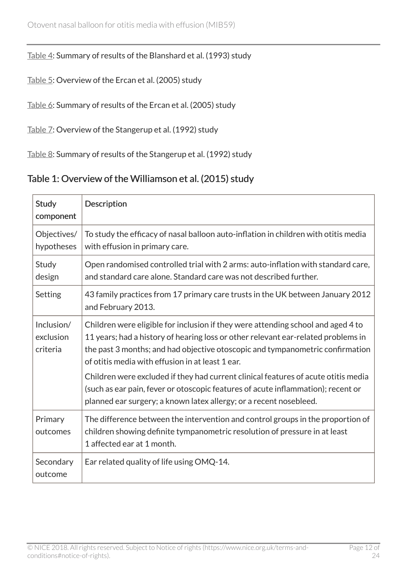#### [Table 4](#page-14-0): Summary of results of the Blanshard et al. (1993) study

[Table 5](#page-16-0): Overview of the Ercan et al. (2005) study

[Table 6](#page-17-0): Summary of results of the Ercan et al. (2005) study

[Table 7](#page-17-1): Overview of the Stangerup et al. (1992) study

[Table 8](#page-18-0): Summary of results of the Stangerup et al. (1992) study

#### <span id="page-11-0"></span>Table 1: Overview of the Williamson et al. (2015) study

| Study<br>component                  | Description                                                                                                                                                                                                                                                                                                                                                                                                                                                                                                                                                |
|-------------------------------------|------------------------------------------------------------------------------------------------------------------------------------------------------------------------------------------------------------------------------------------------------------------------------------------------------------------------------------------------------------------------------------------------------------------------------------------------------------------------------------------------------------------------------------------------------------|
| Objectives/<br>hypotheses           | To study the efficacy of nasal balloon auto-inflation in children with otitis media<br>with effusion in primary care.                                                                                                                                                                                                                                                                                                                                                                                                                                      |
| Study<br>design                     | Open randomised controlled trial with 2 arms: auto-inflation with standard care,<br>and standard care alone. Standard care was not described further.                                                                                                                                                                                                                                                                                                                                                                                                      |
| Setting                             | 43 family practices from 17 primary care trusts in the UK between January 2012<br>and February 2013.                                                                                                                                                                                                                                                                                                                                                                                                                                                       |
| Inclusion/<br>exclusion<br>criteria | Children were eligible for inclusion if they were attending school and aged 4 to<br>11 years; had a history of hearing loss or other relevant ear-related problems in<br>the past 3 months; and had objective otoscopic and tympanometric confirmation<br>of otitis media with effusion in at least 1 ear.<br>Children were excluded if they had current clinical features of acute otitis media<br>(such as ear pain, fever or otoscopic features of acute inflammation); recent or<br>planned ear surgery; a known latex allergy; or a recent nosebleed. |
| Primary<br>outcomes                 | The difference between the intervention and control groups in the proportion of<br>children showing definite tympanometric resolution of pressure in at least<br>1 affected ear at 1 month.                                                                                                                                                                                                                                                                                                                                                                |
| Secondary<br>outcome                | Ear related quality of life using OMQ-14.                                                                                                                                                                                                                                                                                                                                                                                                                                                                                                                  |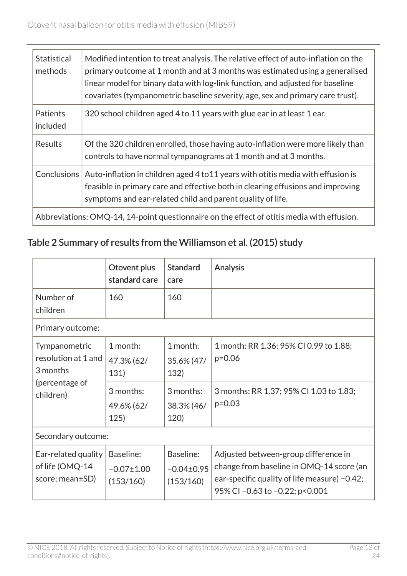| Statistical<br>methods                                                                                                                                                                                                                                  | Modified intention to treat analysis. The relative effect of auto-inflation on the<br>primary outcome at 1 month and at 3 months was estimated using a generalised<br>linear model for binary data with log-link function, and adjusted for baseline<br>covariates (tympanometric baseline severity, age, sex and primary care trust). |  |
|---------------------------------------------------------------------------------------------------------------------------------------------------------------------------------------------------------------------------------------------------------|----------------------------------------------------------------------------------------------------------------------------------------------------------------------------------------------------------------------------------------------------------------------------------------------------------------------------------------|--|
| <b>Patients</b><br>included                                                                                                                                                                                                                             | 320 school children aged 4 to 11 years with glue ear in at least 1 ear.                                                                                                                                                                                                                                                                |  |
| <b>Results</b>                                                                                                                                                                                                                                          | Of the 320 children enrolled, those having auto-inflation were more likely than<br>controls to have normal tympanograms at 1 month and at 3 months.                                                                                                                                                                                    |  |
| <b>Conclusions</b><br>Auto-inflation in children aged 4 to 11 years with otitis media with effusion is<br>feasible in primary care and effective both in clearing effusions and improving<br>symptoms and ear-related child and parent quality of life. |                                                                                                                                                                                                                                                                                                                                        |  |
|                                                                                                                                                                                                                                                         | Abbreviations: OMQ-14, 14-point questionnaire on the effect of otitis media with effusion.                                                                                                                                                                                                                                             |  |

### <span id="page-12-0"></span>Table 2 Summary of results from the Williamson et al. (2015) study

|                                                                                 | Otovent plus<br>standard care              | <b>Standard</b><br>care                  | <b>Analysis</b>                                                                                                                                                      |
|---------------------------------------------------------------------------------|--------------------------------------------|------------------------------------------|----------------------------------------------------------------------------------------------------------------------------------------------------------------------|
| Number of<br>children                                                           | 160                                        | 160                                      |                                                                                                                                                                      |
| Primary outcome:                                                                |                                            |                                          |                                                                                                                                                                      |
| Tympanometric<br>resolution at 1 and<br>3 months<br>(percentage of<br>children) | 1 month:<br>47.3% (62/<br>131)             | 1 month:<br>35.6% (47/<br>132)           | 1 month: RR 1.36; 95% CI 0.99 to 1.88;<br>$p=0.06$                                                                                                                   |
|                                                                                 | 3 months:<br>49.6% (62/<br>125)            | 3 months:<br>38.3% (46/<br>120)          | 3 months: RR 1.37; 95% CI 1.03 to 1.83;<br>$p = 0.03$                                                                                                                |
| Secondary outcome:                                                              |                                            |                                          |                                                                                                                                                                      |
| Ear-related quality<br>of life (OMQ-14<br>score; mean±SD)                       | Baseline:<br>$-0.07 \pm 1.00$<br>(153/160) | Baseline:<br>$-0.04\pm0.95$<br>(153/160) | Adjusted between-group difference in<br>change from baseline in OMQ-14 score (an<br>ear-specific quality of life measure) $-0.42$ ;<br>95% CI-0.63 to -0.22; p<0.001 |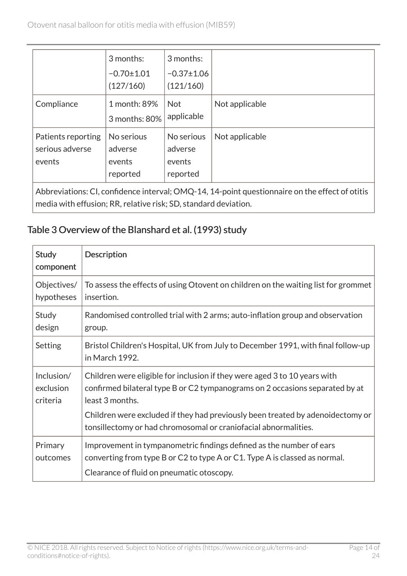$\overline{\phantom{0}}$ 

|                                                 | 3 months:<br>$-0.70 \pm 1.01$<br>(127/160)  | 3 months:<br>$-0.37 \pm 1.06$<br>(121/160)  |                |
|-------------------------------------------------|---------------------------------------------|---------------------------------------------|----------------|
| Compliance                                      | 1 month: 89%<br>3 months: 80%               | <b>Not</b><br>applicable                    | Not applicable |
| Patients reporting<br>serious adverse<br>events | No serious<br>adverse<br>events<br>reported | No serious<br>adverse<br>events<br>reported | Not applicable |

Abbreviations: CI, confidence interval; OMQ-14, 14-point questionnaire on the effect of otitis media with effusion; RR, relative risk; SD, standard deviation.

#### <span id="page-13-0"></span>Table 3 Overview of the Blanshard et al. (1993) study

| Study<br>component                  | <b>Description</b>                                                                                                                                                                                                                                                                                                                |
|-------------------------------------|-----------------------------------------------------------------------------------------------------------------------------------------------------------------------------------------------------------------------------------------------------------------------------------------------------------------------------------|
| Objectives/<br>hypotheses           | To assess the effects of using Otovent on children on the waiting list for grommet<br>insertion.                                                                                                                                                                                                                                  |
| Study<br>design                     | Randomised controlled trial with 2 arms; auto-inflation group and observation<br>group.                                                                                                                                                                                                                                           |
| Setting                             | Bristol Children's Hospital, UK from July to December 1991, with final follow-up<br>in March 1992.                                                                                                                                                                                                                                |
| Inclusion/<br>exclusion<br>criteria | Children were eligible for inclusion if they were aged 3 to 10 years with<br>confirmed bilateral type B or C2 tympanograms on 2 occasions separated by at<br>least 3 months.<br>Children were excluded if they had previously been treated by adenoidectomy or<br>tonsillectomy or had chromosomal or craniofacial abnormalities. |
| Primary<br>outcomes                 | Improvement in tympanometric findings defined as the number of ears<br>converting from type B or C2 to type A or C1. Type A is classed as normal.<br>Clearance of fluid on pneumatic otoscopy.                                                                                                                                    |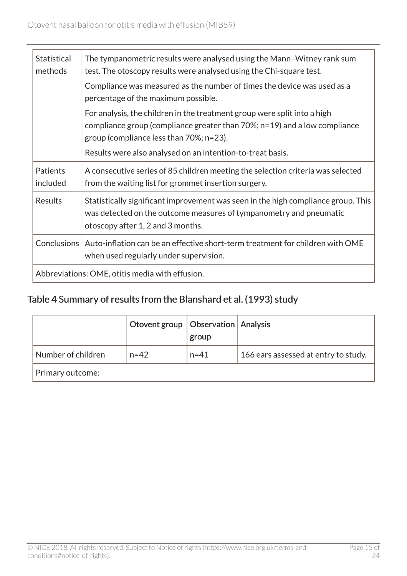| <b>Statistical</b><br>methods | The tympanometric results were analysed using the Mann-Witney rank sum<br>test. The otoscopy results were analysed using the Chi-square test.                                                               |
|-------------------------------|-------------------------------------------------------------------------------------------------------------------------------------------------------------------------------------------------------------|
|                               | Compliance was measured as the number of times the device was used as a<br>percentage of the maximum possible.                                                                                              |
|                               | For analysis, the children in the treatment group were split into a high<br>compliance group (compliance greater than $70\%$ ; $n=19$ ) and a low compliance<br>group (compliance less than $70\%$ ; n=23). |
|                               | Results were also analysed on an intention-to-treat basis.                                                                                                                                                  |
| <b>Patients</b><br>included   | A consecutive series of 85 children meeting the selection criteria was selected<br>from the waiting list for grommet insertion surgery.                                                                     |
| Results                       | Statistically significant improvement was seen in the high compliance group. This<br>was detected on the outcome measures of tympanometry and pneumatic<br>otoscopy after 1, 2 and 3 months.                |
| Conclusions                   | Auto-inflation can be an effective short-term treatment for children with OME<br>when used regularly under supervision.                                                                                     |
|                               | Abbreviations: OME, otitis media with effusion.                                                                                                                                                             |

### <span id="page-14-0"></span>Table 4 Summary of results from the Blanshard et al. (1993) study

|                    | Otovent group   Observation   Analysis | group    |                                      |
|--------------------|----------------------------------------|----------|--------------------------------------|
| Number of children | $n = 42$                               | $n = 41$ | 166 ears assessed at entry to study. |
| Primary outcome:   |                                        |          |                                      |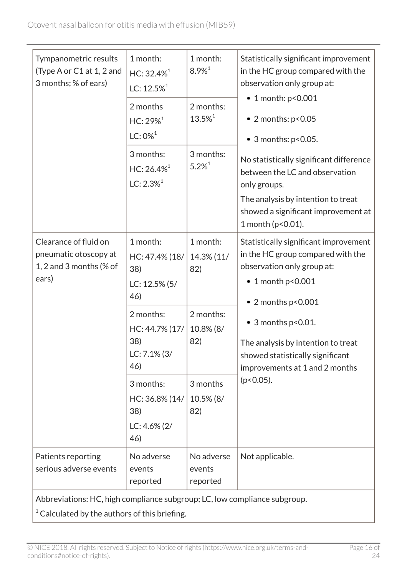| Tympanometric results<br>(Type A or C1 at 1, 2 and<br>3 months; % of ears)                                                | 1 month:<br>$HC: 32.4\%$ <sup>1</sup><br>LC: $12.5\%$ <sup>1</sup><br>2 months<br>$HC: 29\%^{1}$                       | 1 month:<br>$8.9\%$ <sup>1</sup><br>2 months:<br>13.5% <sup>1</sup> | Statistically significant improvement<br>in the HC group compared with the<br>observation only group at:<br>• 1 month: p<0.001<br>$\bullet$ 2 months: $p < 0.05$                                                                                                                                              |
|---------------------------------------------------------------------------------------------------------------------------|------------------------------------------------------------------------------------------------------------------------|---------------------------------------------------------------------|---------------------------------------------------------------------------------------------------------------------------------------------------------------------------------------------------------------------------------------------------------------------------------------------------------------|
|                                                                                                                           | $LC: 0\%$ <sup>1</sup><br>3 months:<br>$HC: 26.4\%$ <sup>1</sup><br>$LC: 2.3\%$ <sup>1</sup>                           | 3 months:<br>$5.2\%$ <sup>1</sup>                                   | • 3 months: p<0.05.<br>No statistically significant difference<br>between the LC and observation<br>only groups.<br>The analysis by intention to treat<br>showed a significant improvement at<br>1 month (p<0.01).                                                                                            |
| Clearance of fluid on<br>pneumatic otoscopy at<br>1, 2 and 3 months (% of<br>ears)                                        | 1 month:<br>HC: 47.4% (18/<br>38)<br>LC: 12.5% (5/<br>46)<br>2 months:<br>HC: 44.7% (17/<br>38)<br>LC: 7.1% (3/<br>46) | 1 month:<br>14.3% (11/<br>82)<br>2 months:<br>10.8% (8/<br>82)      | Statistically significant improvement<br>in the HC group compared with the<br>observation only group at:<br>$\bullet$ 1 month p<0.001<br>$\bullet$ 2 months p<0.001<br>$\bullet$ 3 months p<0.01.<br>The analysis by intention to treat<br>showed statistically significant<br>improvements at 1 and 2 months |
|                                                                                                                           | 3 months:<br>HC: 36.8% (14/<br>38)<br>$LC: 4.6\% (2)$<br>46)                                                           | 3 months<br>10.5% (8/<br>82)                                        | $(p<0.05)$ .                                                                                                                                                                                                                                                                                                  |
| Patients reporting<br>serious adverse events<br>Abbreviations: HC, high compliance subgroup; LC, low compliance subgroup. | No adverse<br>events<br>reported                                                                                       | No adverse<br>events<br>reported                                    | Not applicable.                                                                                                                                                                                                                                                                                               |

 $1$  Calculated by the authors of this briefing.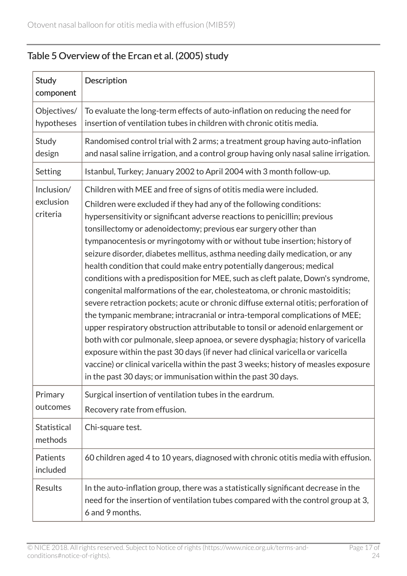### <span id="page-16-0"></span>Table 5 Overview of the Ercan et al. (2005) study

| <b>Study</b><br>component           | <b>Description</b>                                                                                                                                                                                                                                                                                                                                                                                                                                                                                                                                                                                                                                                                                                                                                                                                                                                                                                                                                                                                                                                                                                                                                                                                                                                                       |
|-------------------------------------|------------------------------------------------------------------------------------------------------------------------------------------------------------------------------------------------------------------------------------------------------------------------------------------------------------------------------------------------------------------------------------------------------------------------------------------------------------------------------------------------------------------------------------------------------------------------------------------------------------------------------------------------------------------------------------------------------------------------------------------------------------------------------------------------------------------------------------------------------------------------------------------------------------------------------------------------------------------------------------------------------------------------------------------------------------------------------------------------------------------------------------------------------------------------------------------------------------------------------------------------------------------------------------------|
| Objectives/<br>hypotheses           | To evaluate the long-term effects of auto-inflation on reducing the need for<br>insertion of ventilation tubes in children with chronic otitis media.                                                                                                                                                                                                                                                                                                                                                                                                                                                                                                                                                                                                                                                                                                                                                                                                                                                                                                                                                                                                                                                                                                                                    |
| Study<br>design                     | Randomised control trial with 2 arms; a treatment group having auto-inflation<br>and nasal saline irrigation, and a control group having only nasal saline irrigation.                                                                                                                                                                                                                                                                                                                                                                                                                                                                                                                                                                                                                                                                                                                                                                                                                                                                                                                                                                                                                                                                                                                   |
| Setting                             | Istanbul, Turkey; January 2002 to April 2004 with 3 month follow-up.                                                                                                                                                                                                                                                                                                                                                                                                                                                                                                                                                                                                                                                                                                                                                                                                                                                                                                                                                                                                                                                                                                                                                                                                                     |
| Inclusion/<br>exclusion<br>criteria | Children with MEE and free of signs of otitis media were included.<br>Children were excluded if they had any of the following conditions:<br>hypersensitivity or significant adverse reactions to penicillin; previous<br>tonsillectomy or adenoidectomy; previous ear surgery other than<br>tympanocentesis or myringotomy with or without tube insertion; history of<br>seizure disorder, diabetes mellitus, asthma needing daily medication, or any<br>health condition that could make entry potentially dangerous; medical<br>conditions with a predisposition for MEE, such as cleft palate, Down's syndrome,<br>congenital malformations of the ear, cholesteatoma, or chronic mastoiditis;<br>severe retraction pockets; acute or chronic diffuse external otitis; perforation of<br>the tympanic membrane; intracranial or intra-temporal complications of MEE;<br>upper respiratory obstruction attributable to tonsil or adenoid enlargement or<br>both with cor pulmonale, sleep apnoea, or severe dysphagia; history of varicella<br>exposure within the past 30 days (if never had clinical varicella or varicella<br>vaccine) or clinical varicella within the past 3 weeks; history of measles exposure<br>in the past 30 days; or immunisation within the past 30 days. |
| Primary<br>outcomes                 | Surgical insertion of ventilation tubes in the eardrum.<br>Recovery rate from effusion.                                                                                                                                                                                                                                                                                                                                                                                                                                                                                                                                                                                                                                                                                                                                                                                                                                                                                                                                                                                                                                                                                                                                                                                                  |
| <b>Statistical</b><br>methods       | Chi-square test.                                                                                                                                                                                                                                                                                                                                                                                                                                                                                                                                                                                                                                                                                                                                                                                                                                                                                                                                                                                                                                                                                                                                                                                                                                                                         |
| Patients<br>included                | 60 children aged 4 to 10 years, diagnosed with chronic otitis media with effusion.                                                                                                                                                                                                                                                                                                                                                                                                                                                                                                                                                                                                                                                                                                                                                                                                                                                                                                                                                                                                                                                                                                                                                                                                       |
| Results                             | In the auto-inflation group, there was a statistically significant decrease in the<br>need for the insertion of ventilation tubes compared with the control group at 3,<br>6 and 9 months.                                                                                                                                                                                                                                                                                                                                                                                                                                                                                                                                                                                                                                                                                                                                                                                                                                                                                                                                                                                                                                                                                               |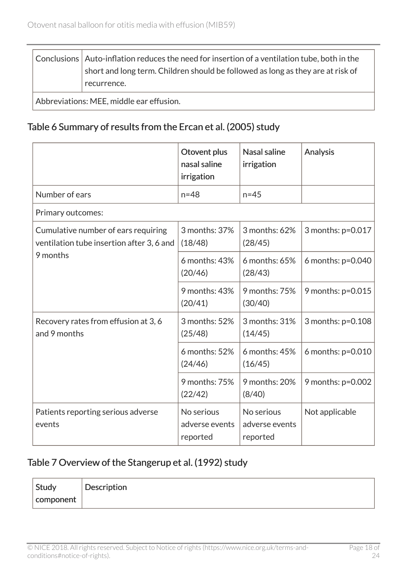Conclusions  $\vert$  Auto-inflation reduces the need for insertion of a ventilation tube, both in the short and long term. Children should be followed as long as they are at risk of recurrence.

Abbreviations: MEE, middle ear effusion.

#### <span id="page-17-0"></span>Table 6 Summary of results from the Ercan et al. (2005) study

|                                                                                  | Otovent plus<br>nasal saline<br>irrigation | Nasal saline<br>irrigation               | Analysis            |
|----------------------------------------------------------------------------------|--------------------------------------------|------------------------------------------|---------------------|
| Number of ears                                                                   | $n = 48$                                   | $n = 45$                                 |                     |
| Primary outcomes:                                                                |                                            |                                          |                     |
| Cumulative number of ears requiring<br>ventilation tube insertion after 3, 6 and | 3 months: 37%<br>(18/48)                   | 3 months: 62%<br>(28/45)                 | 3 months: p=0.017   |
| 9 months                                                                         | 6 months: 43%<br>(20/46)                   | 6 months: 65%<br>(28/43)                 | 6 months: $p=0.040$ |
|                                                                                  | 9 months: 43%<br>(20/41)                   | 9 months: 75%<br>(30/40)                 | 9 months: p=0.015   |
| Recovery rates from effusion at 3, 6<br>and 9 months                             | 3 months: 52%<br>(25/48)                   | 3 months: 31%<br>(14/45)                 | 3 months: p=0.108   |
|                                                                                  | 6 months: 52%<br>(24/46)                   | 6 months: 45%<br>(16/45)                 | 6 months: $p=0.010$ |
|                                                                                  | 9 months: 75%<br>(22/42)                   | 9 months: 20%<br>(8/40)                  | 9 months: $p=0.002$ |
| Patients reporting serious adverse<br>events                                     | No serious<br>adverse events<br>reported   | No serious<br>adverse events<br>reported | Not applicable      |

#### <span id="page-17-1"></span>Table 7 Overview of the Stangerup et al. (1992) study

| $\sqrt{2}$ Study | <b>Description</b> |
|------------------|--------------------|
| component        |                    |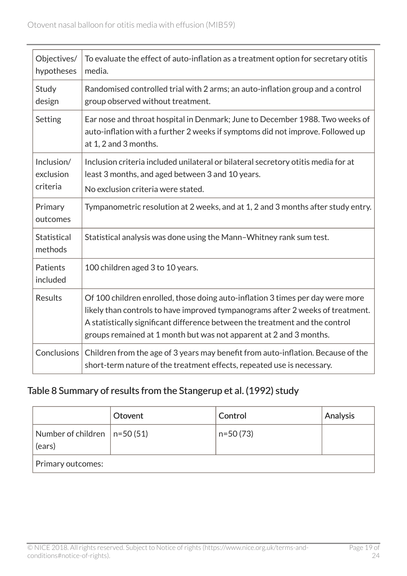| Objectives/<br>hypotheses           | To evaluate the effect of auto-inflation as a treatment option for secretary otitis<br>media.                                                                                                                                                                                                                          |
|-------------------------------------|------------------------------------------------------------------------------------------------------------------------------------------------------------------------------------------------------------------------------------------------------------------------------------------------------------------------|
| Study<br>design                     | Randomised controlled trial with 2 arms; an auto-inflation group and a control<br>group observed without treatment.                                                                                                                                                                                                    |
| Setting                             | Ear nose and throat hospital in Denmark; June to December 1988. Two weeks of<br>auto-inflation with a further 2 weeks if symptoms did not improve. Followed up<br>at 1, 2 and 3 months.                                                                                                                                |
| Inclusion/<br>exclusion<br>criteria | Inclusion criteria included unilateral or bilateral secretory otitis media for at<br>least 3 months, and aged between 3 and 10 years.<br>No exclusion criteria were stated.                                                                                                                                            |
| Primary<br>outcomes                 | Tympanometric resolution at 2 weeks, and at 1, 2 and 3 months after study entry.                                                                                                                                                                                                                                       |
| <b>Statistical</b><br>methods       | Statistical analysis was done using the Mann-Whitney rank sum test.                                                                                                                                                                                                                                                    |
| Patients<br>included                | 100 children aged 3 to 10 years.                                                                                                                                                                                                                                                                                       |
| <b>Results</b>                      | Of 100 children enrolled, those doing auto-inflation 3 times per day were more<br>likely than controls to have improved tympanograms after 2 weeks of treatment.<br>A statistically significant difference between the treatment and the control<br>groups remained at 1 month but was not apparent at 2 and 3 months. |
| Conclusions                         | Children from the age of 3 years may benefit from auto-inflation. Because of the<br>short-term nature of the treatment effects, repeated use is necessary.                                                                                                                                                             |

### <span id="page-18-0"></span>Table 8 Summary of results from the Stangerup et al. (1992) study

|                                           | Otovent | Control    | Analysis |
|-------------------------------------------|---------|------------|----------|
| Number of children $ n=50(51) $<br>(ears) |         | $n=50(73)$ |          |
| Primary outcomes:                         |         |            |          |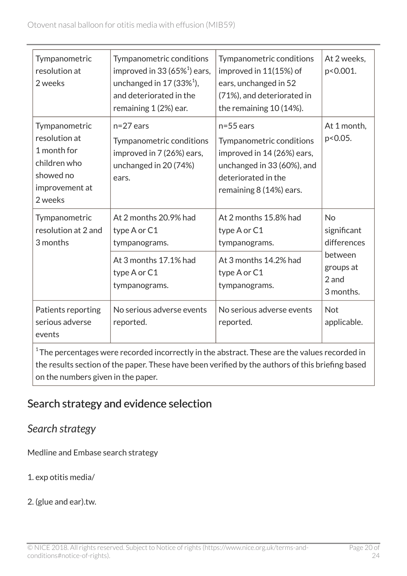| Tympanometric<br>resolution at<br>2 weeks                                                               | Tympanometric conditions<br>improved in 33 (65% $^1$ ) ears,<br>unchanged in $17(33\%)$ ,<br>and deteriorated in the<br>remaining 1 (2%) ear. | Tympanometric conditions<br>improved in 11(15%) of<br>ears, unchanged in 52<br>(71%), and deteriorated in<br>the remaining 10 (14%).                  | At 2 weeks,<br>p<0.001.                                                               |
|---------------------------------------------------------------------------------------------------------|-----------------------------------------------------------------------------------------------------------------------------------------------|-------------------------------------------------------------------------------------------------------------------------------------------------------|---------------------------------------------------------------------------------------|
| Tympanometric<br>resolution at<br>1 month for<br>children who<br>showed no<br>improvement at<br>2 weeks | $n=27$ ears<br>Tympanometric conditions<br>improved in 7 (26%) ears,<br>unchanged in 20 (74%)<br>ears.                                        | $n=55$ ears<br>Tympanometric conditions<br>improved in 14 (26%) ears,<br>unchanged in 33 (60%), and<br>deteriorated in the<br>remaining 8 (14%) ears. | At 1 month,<br>p<0.05.                                                                |
| Tympanometric<br>resolution at 2 and<br>3 months                                                        | At 2 months 20.9% had<br>type A or C1<br>tympanograms.<br>At 3 months 17.1% had<br>type A or C1<br>tympanograms.                              | At 2 months 15.8% had<br>type A or C1<br>tympanograms.<br>At 3 months 14.2% had<br>type A or C1<br>tympanograms.                                      | <b>No</b><br>significant<br>differences<br>between<br>groups at<br>2 and<br>3 months. |
| Patients reporting<br>serious adverse<br>events                                                         | No serious adverse events<br>reported.                                                                                                        | No serious adverse events<br>reported.                                                                                                                | <b>Not</b><br>applicable.                                                             |

 $^{\rm 1}$ The percentages were recorded incorrectly in the abstract. These are the values recorded in the results section of the paper. These have been verified by the authors of this briefing based on the numbers given in the paper.

# Search strategy and evidence selection

### *Search strategy*

Medline and Embase search strategy

- 1. exp otitis media/
- 2. (glue and ear).tw.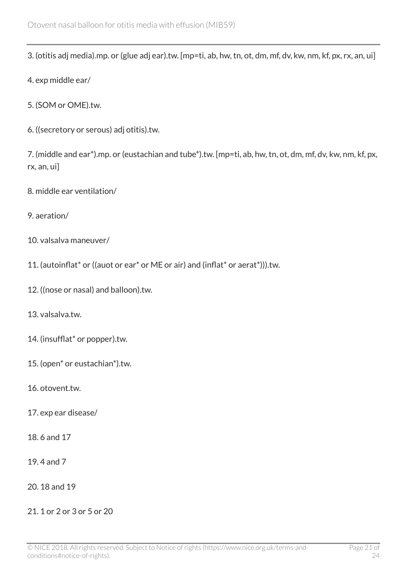3. (otitis adj media).mp. or (glue adj ear).tw. [mp=ti, ab, hw, tn, ot, dm, mf, dv, kw, nm, kf, px, rx, an, ui]

- 4. exp middle ear/
- 5. (SOM or OME).tw.
- 6. ((secretory or serous) adj otitis).tw.

7. (middle and ear\*).mp. or (eustachian and tube\*).tw. [mp=ti, ab, hw, tn, ot, dm, mf, dv, kw, nm, kf, px, rx, an, ui]

- 8. middle ear ventilation/
- 9. aeration/
- 10. valsalva maneuver/
- 11. (autoinflat\* or ((auot or ear\* or ME or air) and (inflat\* or aerat\*))).tw.
- 12. ((nose or nasal) and balloon).tw.
- 13. valsalva.tw.
- 14. (insufflat\* or popper).tw.
- 15. (open\* or eustachian\*).tw.
- 16. otovent.tw.
- 17. exp ear disease/
- 18. 6 and 17
- 19. 4 and 7
- 20. 18 and 19
- 21. 1 or 2 or 3 or 5 or 20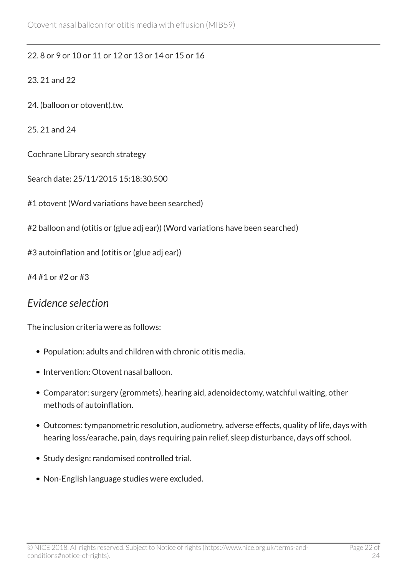#### 22. 8 or 9 or 10 or 11 or 12 or 13 or 14 or 15 or 16

#### 23. 21 and 22

- 24. (balloon or otovent).tw.
- 25. 21 and 24

Cochrane Library search strategy

Search date: 25/11/2015 15:18:30.500

#1 otovent (Word variations have been searched)

#2 balloon and (otitis or (glue adj ear)) (Word variations have been searched)

#3 autoinflation and (otitis or (glue adj ear))

#4 #1 or #2 or #3

#### *Evidence selection*

The inclusion criteria were as follows:

- Population: adults and children with chronic otitis media.
- Intervention: Otovent nasal balloon.
- Comparator: surgery (grommets), hearing aid, adenoidectomy, watchful waiting, other methods of autoinflation.
- Outcomes: tympanometric resolution, audiometry, adverse effects, quality of life, days with hearing loss/earache, pain, days requiring pain relief, sleep disturbance, days off school.
- Study design: randomised controlled trial.
- Non-English language studies were excluded.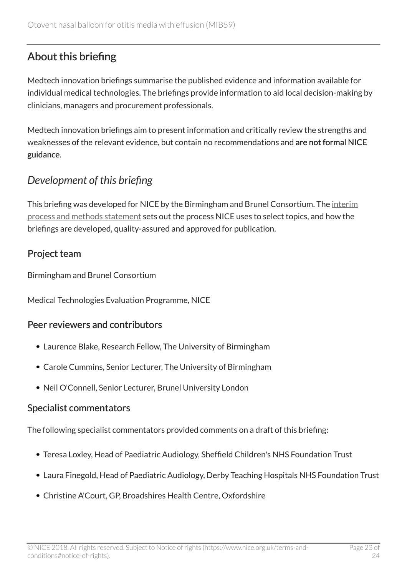# About this briefing

Medtech innovation briefings summarise the published evidence and information available for individual medical technologies. The briefings provide information to aid local decision-making by clinicians, managers and procurement professionals.

Medtech innovation briefings aim to present information and critically review the strengths and weaknesses of the relevant evidence, but contain no recommendations and are not formal NICE guidance.

# *Development of this briefing*

This briefing was developed for NICE by the Birmingham and Brunel Consortium. The [interim](http://www.nice.org.uk/Media/Default/About/what-we-do/NICE-advice/Medtech-innovation-briefings/MIB-interim-process-methods-statement.pdf) [process and methods statement](http://www.nice.org.uk/Media/Default/About/what-we-do/NICE-advice/Medtech-innovation-briefings/MIB-interim-process-methods-statement.pdf) sets out the process NICE uses to select topics, and how the briefings are developed, quality-assured and approved for publication.

#### Project team

Birmingham and Brunel Consortium

Medical Technologies Evaluation Programme, NICE

#### Peer reviewers and contributors

- Laurence Blake, Research Fellow, The University of Birmingham
- Carole Cummins, Senior Lecturer, The University of Birmingham
- Neil O'Connell, Senior Lecturer, Brunel University London

#### Specialist commentators

The following specialist commentators provided comments on a draft of this briefing:

- Teresa Loxley, Head of Paediatric Audiology, Sheffield Children's NHS Foundation Trust
- Laura Finegold, Head of Paediatric Audiology, Derby Teaching Hospitals NHS Foundation Trust
- Christine A'Court, GP, Broadshires Health Centre, Oxfordshire